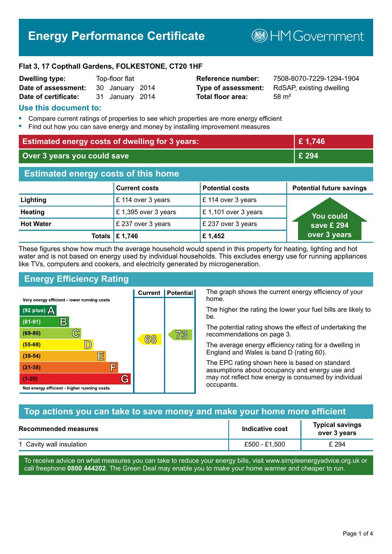# **Energy Performance Certificate**

**B**HMGovernment

#### **Flat 3, 17 Copthall Gardens, FOLKESTONE, CT20 1HF**

| <b>Dwelling type:</b> | Top-floor flat |                 |  |
|-----------------------|----------------|-----------------|--|
| Date of assessment:   |                | 30 January 2014 |  |
| Date of certificate:  |                | 31 January 2014 |  |

# **Total floor area:** 58 m<sup>2</sup>

**Reference number:** 7508-8070-7229-1294-1904 **Type of assessment:** RdSAP, existing dwelling

#### **Use this document to:**

- **•** Compare current ratings of properties to see which properties are more energy efficient
- **•** Find out how you can save energy and money by installing improvement measures

| <b>Estimated energy costs of dwelling for 3 years:</b> |                                 | £1,746                 |                                 |
|--------------------------------------------------------|---------------------------------|------------------------|---------------------------------|
| Over 3 years you could save                            |                                 | £ 294                  |                                 |
| <b>Estimated energy costs of this home</b>             |                                 |                        |                                 |
|                                                        | <b>Current costs</b>            | <b>Potential costs</b> | <b>Potential future savings</b> |
| Lighting                                               | £ 114 over 3 years              | £ 114 over 3 years     |                                 |
| <b>Heating</b>                                         | £1,395 over 3 years             | £1,101 over 3 years    | You could                       |
| <b>Hot Water</b>                                       | £ 237 over 3 years              | £ 237 over 3 years     | save £ 294                      |
|                                                        | Totals $\mathbf \epsilon$ 1,746 | £1,452                 | over 3 years                    |

These figures show how much the average household would spend in this property for heating, lighting and hot water and is not based on energy used by individual households. This excludes energy use for running appliances like TVs, computers and cookers, and electricity generated by microgeneration.

**Current | Potential** 

68

# **Energy Efficiency Rating**

 $\mathbb{C}$ 

 $\mathbb{D}$ 

E

庐

G

Very energy efficient - lower running costs

R

Not energy efficient - higher running costs

 $(92$  plus)

 $(81 - 91)$ 

 $(69 - 80)$ 

 $(55-68)$  $(39-54)$ 

 $(21-38)$ 

 $(1-20)$ 

- 70

The graph shows the current energy efficiency of your home.

The higher the rating the lower your fuel bills are likely to be.

The potential rating shows the effect of undertaking the recommendations on page 3.

The average energy efficiency rating for a dwelling in England and Wales is band D (rating 60).

The EPC rating shown here is based on standard assumptions about occupancy and energy use and may not reflect how energy is consumed by individual occupants.

# **Top actions you can take to save money and make your home more efficient**

73

| Recommended measures     | Indicative cost | <b>Typical savings</b><br>over 3 years |
|--------------------------|-----------------|----------------------------------------|
| 1 Cavity wall insulation | £500 - £1.500   | £ 294                                  |

To receive advice on what measures you can take to reduce your energy bills, visit www.simpleenergyadvice.org.uk or call freephone **0800 444202**. The Green Deal may enable you to make your home warmer and cheaper to run.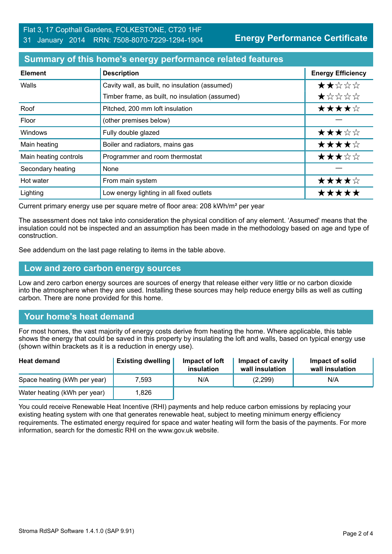**Energy Performance Certificate**

### **Summary of this home's energy performance related features**

| <b>Element</b>        | <b>Description</b>                              | <b>Energy Efficiency</b> |
|-----------------------|-------------------------------------------------|--------------------------|
| Walls                 | Cavity wall, as built, no insulation (assumed)  | ★★☆☆☆                    |
|                       | Timber frame, as built, no insulation (assumed) | $\star$ * * * *          |
| Roof                  | Pitched, 200 mm loft insulation                 | ★★★★☆                    |
| Floor                 | (other premises below)                          |                          |
| Windows               | Fully double glazed                             | ★★★☆☆                    |
| Main heating          | Boiler and radiators, mains gas                 | ★★★★☆                    |
| Main heating controls | Programmer and room thermostat                  | ★★★☆☆                    |
| Secondary heating     | None                                            |                          |
| Hot water             | From main system                                | ★★★★☆                    |
| Lighting              | Low energy lighting in all fixed outlets        | *****                    |

Current primary energy use per square metre of floor area: 208 kWh/m² per year

The assessment does not take into consideration the physical condition of any element. 'Assumed' means that the insulation could not be inspected and an assumption has been made in the methodology based on age and type of construction.

See addendum on the last page relating to items in the table above.

#### **Low and zero carbon energy sources**

Low and zero carbon energy sources are sources of energy that release either very little or no carbon dioxide into the atmosphere when they are used. Installing these sources may help reduce energy bills as well as cutting carbon. There are none provided for this home.

# **Your home's heat demand**

For most homes, the vast majority of energy costs derive from heating the home. Where applicable, this table shows the energy that could be saved in this property by insulating the loft and walls, based on typical energy use (shown within brackets as it is a reduction in energy use).

| <b>Heat demand</b>           | <b>Existing dwelling</b> | Impact of loft<br>insulation | Impact of cavity<br>wall insulation | Impact of solid<br>wall insulation |
|------------------------------|--------------------------|------------------------------|-------------------------------------|------------------------------------|
| Space heating (kWh per year) | 7.593                    | N/A                          | (2,299)                             | N/A                                |
| Water heating (kWh per year) | .826                     |                              |                                     |                                    |

You could receive Renewable Heat Incentive (RHI) payments and help reduce carbon emissions by replacing your existing heating system with one that generates renewable heat, subject to meeting minimum energy efficiency requirements. The estimated energy required for space and water heating will form the basis of the payments. For more information, search for the domestic RHI on the www.gov.uk website.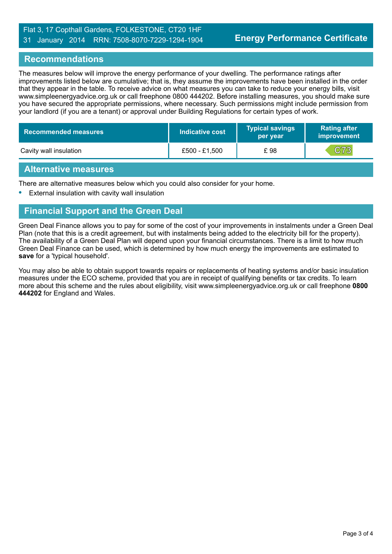## Flat 3, 17 Copthall Gardens, FOLKESTONE, CT20 1HF 31 January 2014 RRN: 7508-8070-7229-1294-1904

#### **Recommendations**

The measures below will improve the energy performance of your dwelling. The performance ratings after improvements listed below are cumulative; that is, they assume the improvements have been installed in the order that they appear in the table. To receive advice on what measures you can take to reduce your energy bills, visit www.simpleenergyadvice.org.uk or call freephone 0800 444202. Before installing measures, you should make sure you have secured the appropriate permissions, where necessary. Such permissions might include permission from your landlord (if you are a tenant) or approval under Building Regulations for certain types of work.

| <b>Recommended measures</b> | Indicative cost | <b>Typical savings</b><br>per year | <b>Rating after</b><br><b>improvement</b> |
|-----------------------------|-----------------|------------------------------------|-------------------------------------------|
| Cavity wall insulation      | £500 - £1.500   | £ 98                               | C73                                       |

#### **Alternative measures**

There are alternative measures below which you could also consider for your home.

**•** External insulation with cavity wall insulation

## **Financial Support and the Green Deal**

Green Deal Finance allows you to pay for some of the cost of your improvements in instalments under a Green Deal Plan (note that this is a credit agreement, but with instalments being added to the electricity bill for the property). The availability of a Green Deal Plan will depend upon your financial circumstances. There is a limit to how much Green Deal Finance can be used, which is determined by how much energy the improvements are estimated to **save** for a 'typical household'.

You may also be able to obtain support towards repairs or replacements of heating systems and/or basic insulation measures under the ECO scheme, provided that you are in receipt of qualifying benefits or tax credits. To learn more about this scheme and the rules about eligibility, visit www.simpleenergyadvice.org.uk or call freephone **0800 444202** for England and Wales.